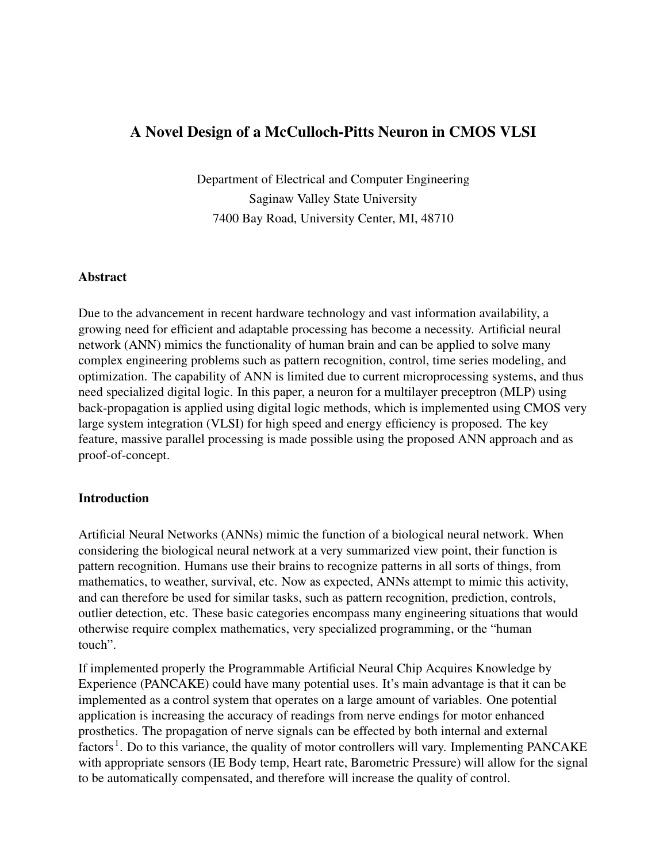# A Novel Design of a McCulloch-Pitts Neuron in CMOS VLSI

Department of Electrical and Computer Engineering Saginaw Valley State University 7400 Bay Road, University Center, MI, 48710

## Abstract

Due to the advancement in recent hardware technology and vast information availability, a growing need for efficient and adaptable processing has become a necessity. Artificial neural network (ANN) mimics the functionality of human brain and can be applied to solve many complex engineering problems such as pattern recognition, control, time series modeling, and optimization. The capability of ANN is limited due to current microprocessing systems, and thus need specialized digital logic. In this paper, a neuron for a multilayer preceptron (MLP) using back-propagation is applied using digital logic methods, which is implemented using CMOS very large system integration (VLSI) for high speed and energy efficiency is proposed. The key feature, massive parallel processing is made possible using the proposed ANN approach and as proof-of-concept.

#### Introduction

Artificial Neural Networks (ANNs) mimic the function of a biological neural network. When considering the biological neural network at a very summarized view point, their function is pattern recognition. Humans use their brains to recognize patterns in all sorts of things, from mathematics, to weather, survival, etc. Now as expected, ANNs attempt to mimic this activity, and can therefore be used for similar tasks, such as pattern recognition, prediction, controls, outlier detection, etc. These basic categories encompass many engineering situations that would otherwise require complex mathematics, very specialized programming, or the "human touch".

If implemented properly the Programmable Artificial Neural Chip Acquires Knowledge by Experience (PANCAKE) could have many potential uses. It's main advantage is that it can be implemented as a control system that operates on a large amount of variables. One potential application is increasing the accuracy of readings from nerve endings for motor enhanced prosthetics. The propagation of nerve signals can be effected by both internal and external factors<sup>1</sup>. Do to this variance, the quality of motor controllers will vary. Implementing PANCAKE with appropriate sensors (IE Body temp, Heart rate, Barometric Pressure) will allow for the signal to be automatically compensated, and therefore will increase the quality of control.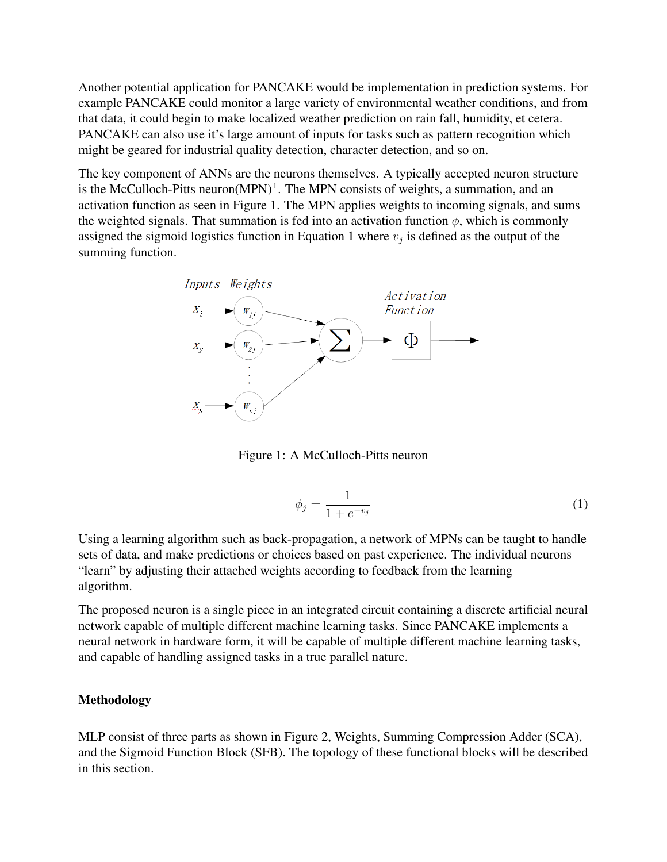Another potential application for PANCAKE would be implementation in prediction systems. For example PANCAKE could monitor a large variety of environmental weather conditions, and from that data, it could begin to make localized weather prediction on rain fall, humidity, et cetera. PANCAKE can also use it's large amount of inputs for tasks such as pattern recognition which might be geared for industrial quality detection, character detection, and so on.

The key component of ANNs are the neurons themselves. A typically accepted neuron structure is the McCulloch-Pitts neuron $(MPN)^1$ . The MPN consists of weights, a summation, and an activation function as seen in Figure 1. The MPN applies weights to incoming signals, and sums the weighted signals. That summation is fed into an activation function  $\phi$ , which is commonly assigned the sigmoid logistics function in Equation 1 where  $v_j$  is defined as the output of the summing function.



Figure 1: A McCulloch-Pitts neuron

$$
\phi_j = \frac{1}{1 + e^{-v_j}}\tag{1}
$$

Using a learning algorithm such as back-propagation, a network of MPNs can be taught to handle sets of data, and make predictions or choices based on past experience. The individual neurons "learn" by adjusting their attached weights according to feedback from the learning algorithm.

The proposed neuron is a single piece in an integrated circuit containing a discrete artificial neural network capable of multiple different machine learning tasks. Since PANCAKE implements a neural network in hardware form, it will be capable of multiple different machine learning tasks, and capable of handling assigned tasks in a true parallel nature.

### Methodology

MLP consist of three parts as shown in Figure 2, Weights, Summing Compression Adder (SCA), and the Sigmoid Function Block (SFB). The topology of these functional blocks will be described in this section.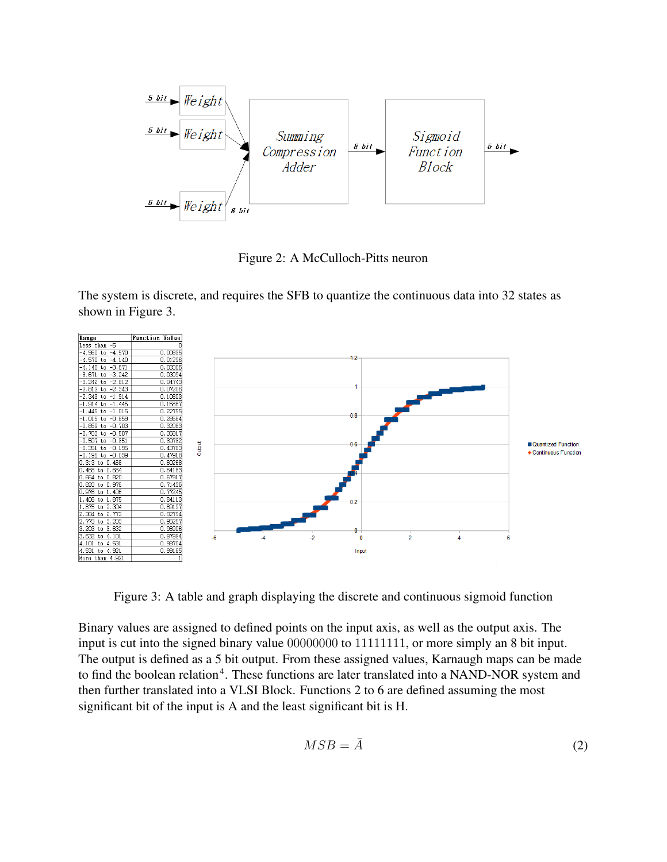

Figure 2: A McCulloch-Pitts neuron

The system is discrete, and requires the SFB to quantize the continuous data into 32 states as shown in Figure 3.



Figure 3: A table and graph displaying the discrete and continuous sigmoid function

Binary values are assigned to defined points on the input axis, as well as the output axis. The input is cut into the signed binary value 00000000 to 11111111, or more simply an 8 bit input. The output is defined as a 5 bit output. From these assigned values, Karnaugh maps can be made to find the boolean relation<sup>4</sup>. These functions are later translated into a NAND-NOR system and then further translated into a VLSI Block. Functions 2 to 6 are defined assuming the most significant bit of the input is A and the least significant bit is H.

$$
MSB = \bar{A} \tag{2}
$$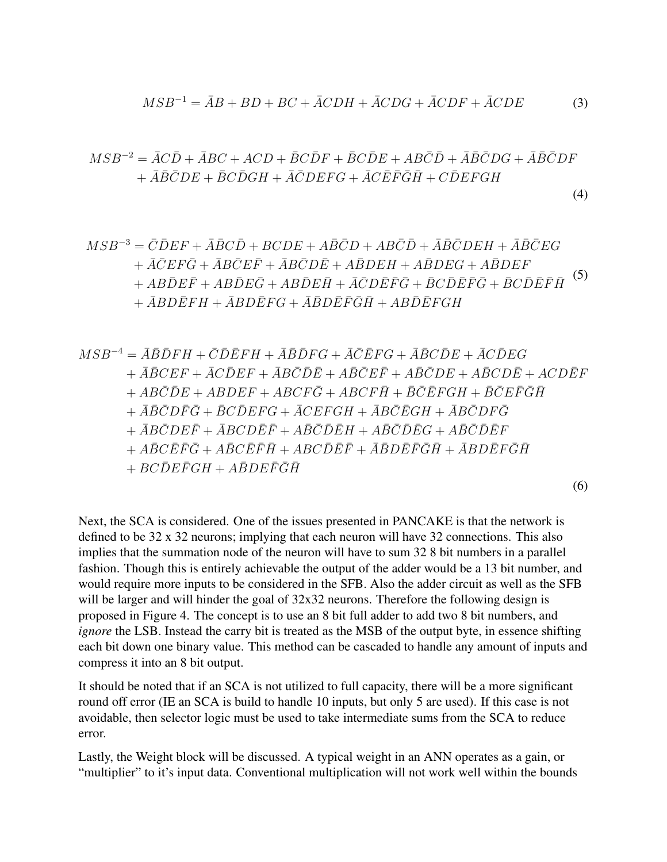$$
MSB^{-1} = \overline{A}B + BD + BC + \overline{A}CDH + \overline{A}CDG + \overline{A}CDF + \overline{A}CDE
$$
 (3)

$$
MSB^{-2} = \bar{A}C\bar{D} + \bar{A}BC + ACD + \bar{B}\bar{C}\bar{D}F + \bar{B}\bar{C}\bar{D}E + AB\bar{C}\bar{D} + \bar{A}\bar{B}\bar{C}DG + \bar{A}\bar{B}\bar{C}DF + \bar{A}\bar{B}\bar{C}DE + \bar{B}\bar{C}\bar{D}GH + \bar{A}\bar{C}DEFG + \bar{A}\bar{C}\bar{E}\bar{F}\bar{G}\bar{H} + \bar{C}\bar{D}EFGH
$$

(4)

$$
MSB^{-3} = \overline{C}\overline{D}EF + \overline{A}\overline{B}\overline{C}\overline{D} + BCDE + A\overline{B}\overline{C}D + AB\overline{C}\overline{D} + \overline{A}\overline{B}\overline{C}DEH + \overline{A}\overline{B}\overline{C}EG
$$
  
+  $\overline{A}\overline{C}EF\overline{G} + \overline{A}B\overline{C}E\overline{F} + \overline{A}B\overline{C}D\overline{E} + A\overline{B}DEH + A\overline{B}DEG + A\overline{B}DEF$   
+  $AB\overline{D}E\overline{F} + AB\overline{D}E\overline{G} + AB\overline{D}E\overline{H} + \overline{A}\overline{C}D\overline{E}\overline{F}\overline{G} + \overline{B}C\overline{D}\overline{E}\overline{F}\overline{G} + \overline{B}C\overline{D}\overline{E}\overline{F}\overline{H}$  (5)  
+  $\overline{A}BD\overline{E}FH + \overline{A}BD\overline{E}FG + \overline{A}\overline{B}D\overline{E}\overline{F}\overline{G}\overline{H} + AB\overline{D}\overline{E}FGH$ 

$$
MSB^{-4} = \bar{A}\bar{B}\bar{D}FH + \bar{C}\bar{D}\bar{E}FH + \bar{A}\bar{B}\bar{D}FG + \bar{A}\bar{C}\bar{E}FG + \bar{A}\bar{B}\bar{C}\bar{D}E + \bar{A}\bar{C}\bar{D}EG
$$
  
+  $\bar{A}\bar{B}\bar{C}EF + \bar{A}\bar{C}\bar{D}EF + \bar{A}\bar{B}\bar{C}\bar{D}\bar{E} + A\bar{B}\bar{C}\bar{D}E + A\bar{B}\bar{C}DE + A\bar{B}C D\bar{E} + ACD\bar{E}F$   
+  $AB\bar{C}\bar{D}E + AB\bar{D}EF + ABCF\bar{G} + ABCF\bar{H} + \bar{B}\bar{C}\bar{E}FGH + \bar{B}\bar{C}\bar{E}\bar{F}\bar{G}\bar{H}$   
+  $\bar{A}\bar{B}\bar{C}D\bar{F}\bar{G} + \bar{B}\bar{C}\bar{D}EFG + \bar{A}\bar{C}EFGH + \bar{A}\bar{B}\bar{C}\bar{E}GH + \bar{A}\bar{B}\bar{C}\bar{D}\bar{F}\bar{G}$   
+  $\bar{A}\bar{B}\bar{C}D\bar{E}\bar{F} + \bar{A}\bar{B}\bar{C}D\bar{E}\bar{F} + A\bar{B}\bar{C}\bar{D}\bar{E}H + A\bar{B}\bar{C}\bar{D}\bar{E}G + A\bar{B}\bar{C}\bar{D}\bar{E}F$   
+  $A\bar{B}\bar{C}\bar{E}\bar{F}\bar{G} + A\bar{B}\bar{C}\bar{E}\bar{F}\bar{H} + ABC\bar{D}\bar{E}\bar{F} + \bar{A}\bar{B}D\bar{E}\bar{F}\bar{G}\bar{H} + \bar{A}BD\bar{E}\bar{F}\bar{G}\bar{H}$   
+  $BC\bar{D}E\bar{F}GH + A\bar{B}DE\bar{F}\bar{G}\bar{H}$ 

(6)

Next, the SCA is considered. One of the issues presented in PANCAKE is that the network is defined to be 32 x 32 neurons; implying that each neuron will have 32 connections. This also implies that the summation node of the neuron will have to sum 32 8 bit numbers in a parallel fashion. Though this is entirely achievable the output of the adder would be a 13 bit number, and would require more inputs to be considered in the SFB. Also the adder circuit as well as the SFB will be larger and will hinder the goal of  $32x32$  neurons. Therefore the following design is proposed in Figure 4. The concept is to use an 8 bit full adder to add two 8 bit numbers, and *ignore* the LSB. Instead the carry bit is treated as the MSB of the output byte, in essence shifting each bit down one binary value. This method can be cascaded to handle any amount of inputs and compress it into an 8 bit output.

It should be noted that if an SCA is not utilized to full capacity, there will be a more significant round off error (IE an SCA is build to handle 10 inputs, but only 5 are used). If this case is not avoidable, then selector logic must be used to take intermediate sums from the SCA to reduce error.

Lastly, the Weight block will be discussed. A typical weight in an ANN operates as a gain, or "multiplier" to it's input data. Conventional multiplication will not work well within the bounds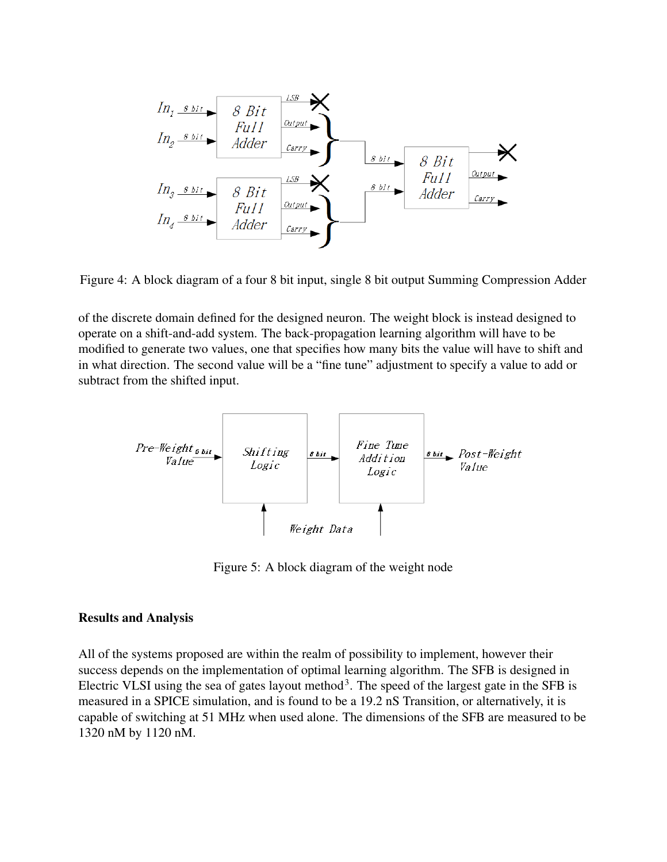

Figure 4: A block diagram of a four 8 bit input, single 8 bit output Summing Compression Adder

of the discrete domain defined for the designed neuron. The weight block is instead designed to operate on a shift-and-add system. The back-propagation learning algorithm will have to be modified to generate two values, one that specifies how many bits the value will have to shift and in what direction. The second value will be a "fine tune" adjustment to specify a value to add or subtract from the shifted input.



Figure 5: A block diagram of the weight node

#### Results and Analysis

All of the systems proposed are within the realm of possibility to implement, however their success depends on the implementation of optimal learning algorithm. The SFB is designed in Electric VLSI using the sea of gates layout method<sup>3</sup>. The speed of the largest gate in the SFB is measured in a SPICE simulation, and is found to be a 19.2 nS Transition, or alternatively, it is capable of switching at 51 MHz when used alone. The dimensions of the SFB are measured to be 1320 nM by 1120 nM.